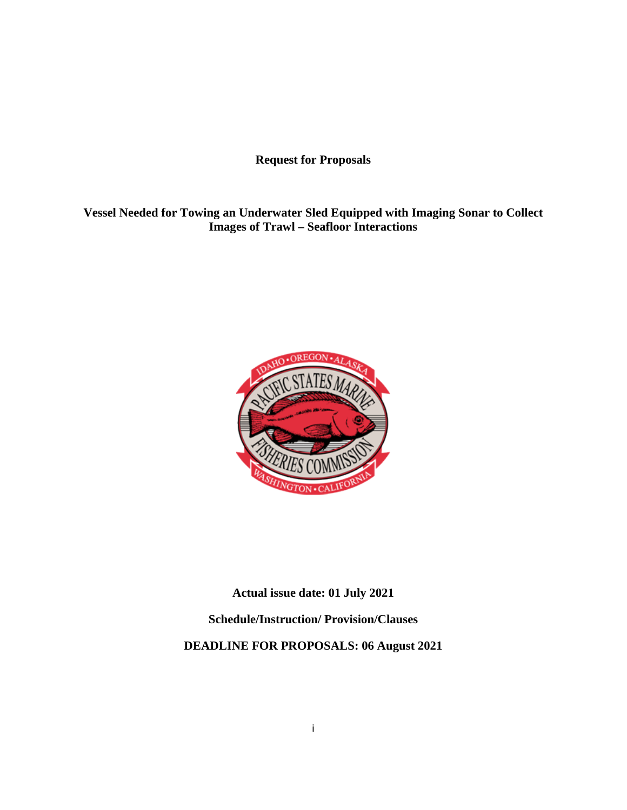**Request for Proposals**

**Vessel Needed for Towing an Underwater Sled Equipped with Imaging Sonar to Collect Images of Trawl – Seafloor Interactions**



**Actual issue date: 01 July 2021**

**Schedule/Instruction/ Provision/Clauses**

**DEADLINE FOR PROPOSALS: 06 August 2021**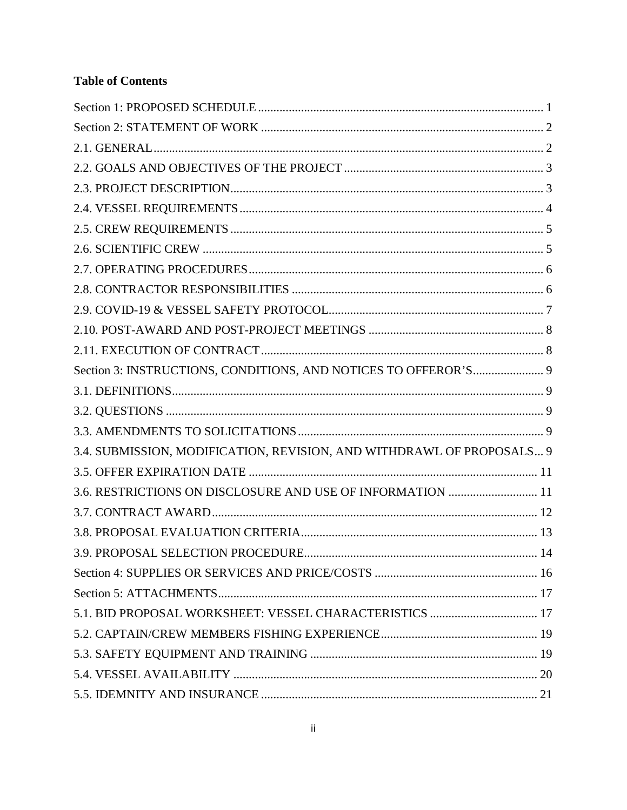# **Table of Contents**

| Section 3: INSTRUCTIONS, CONDITIONS, AND NOTICES TO OFFEROR'S 9       |  |
|-----------------------------------------------------------------------|--|
|                                                                       |  |
|                                                                       |  |
|                                                                       |  |
| 3.4. SUBMISSION, MODIFICATION, REVISION, AND WITHDRAWL OF PROPOSALS 9 |  |
|                                                                       |  |
| 3.6. RESTRICTIONS ON DISCLOSURE AND USE OF INFORMATION  11            |  |
|                                                                       |  |
|                                                                       |  |
|                                                                       |  |
|                                                                       |  |
|                                                                       |  |
| 5.1. BID PROPOSAL WORKSHEET: VESSEL CHARACTERISTICS  17               |  |
|                                                                       |  |
|                                                                       |  |
|                                                                       |  |
|                                                                       |  |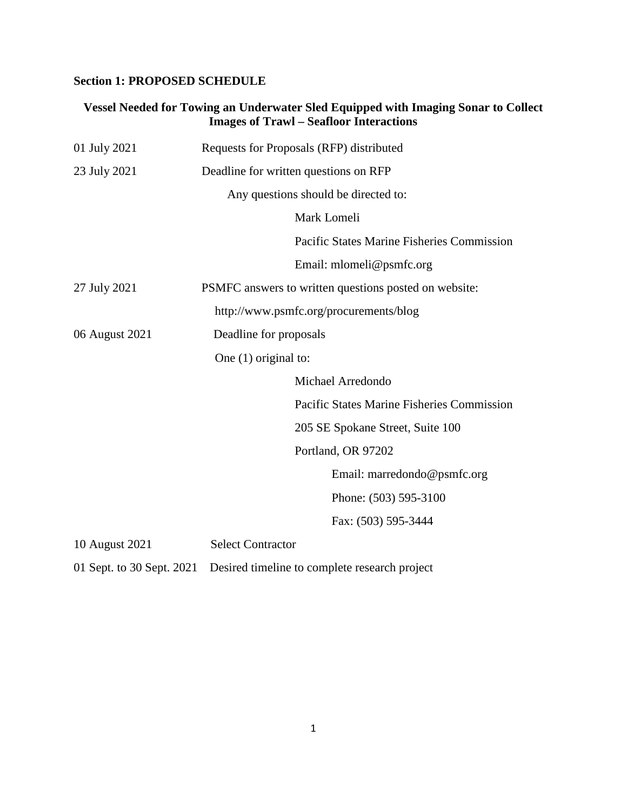# <span id="page-2-0"></span>**Section 1: PROPOSED SCHEDULE**

|                           | Vessel Needed for Towing an Underwater Sled Equipped with Imaging Sonar to Collect<br><b>Images of Trawl - Seafloor Interactions</b> |  |  |
|---------------------------|--------------------------------------------------------------------------------------------------------------------------------------|--|--|
| 01 July 2021              | Requests for Proposals (RFP) distributed                                                                                             |  |  |
| 23 July 2021              | Deadline for written questions on RFP                                                                                                |  |  |
|                           | Any questions should be directed to:                                                                                                 |  |  |
|                           | Mark Lomeli                                                                                                                          |  |  |
|                           | Pacific States Marine Fisheries Commission                                                                                           |  |  |
|                           | Email: mlomeli@psmfc.org                                                                                                             |  |  |
| 27 July 2021              | PSMFC answers to written questions posted on website:                                                                                |  |  |
|                           | http://www.psmfc.org/procurements/blog                                                                                               |  |  |
| 06 August 2021            | Deadline for proposals                                                                                                               |  |  |
|                           | One $(1)$ original to:                                                                                                               |  |  |
|                           | Michael Arredondo                                                                                                                    |  |  |
|                           | Pacific States Marine Fisheries Commission                                                                                           |  |  |
|                           | 205 SE Spokane Street, Suite 100                                                                                                     |  |  |
|                           | Portland, OR 97202                                                                                                                   |  |  |
|                           | Email: marredondo@psmfc.org                                                                                                          |  |  |
|                           | Phone: (503) 595-3100                                                                                                                |  |  |
|                           | Fax: (503) 595-3444                                                                                                                  |  |  |
| 10 August 2021            | <b>Select Contractor</b>                                                                                                             |  |  |
| 01 Sept. to 30 Sept. 2021 | Desired timeline to complete research project                                                                                        |  |  |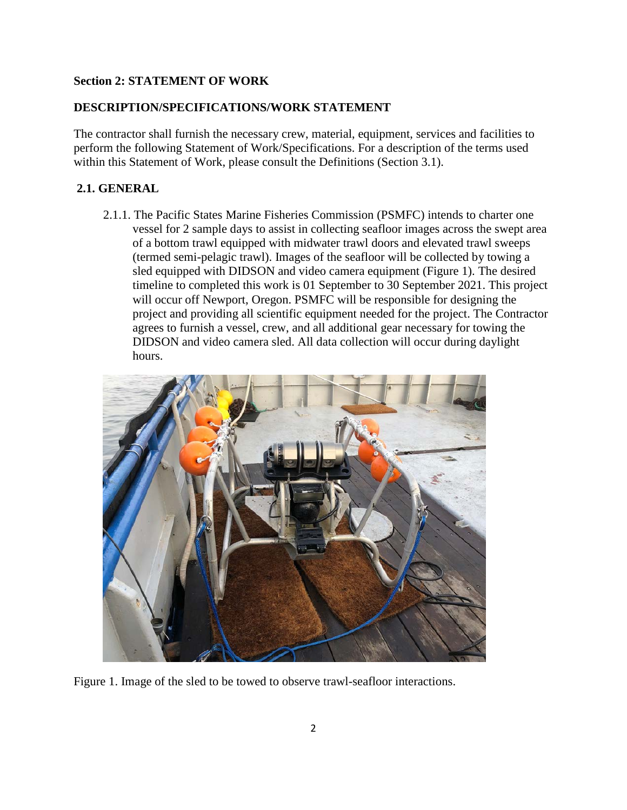## <span id="page-3-0"></span>**Section 2: STATEMENT OF WORK**

## **DESCRIPTION/SPECIFICATIONS/WORK STATEMENT**

The contractor shall furnish the necessary crew, material, equipment, services and facilities to perform the following Statement of Work/Specifications. For a description of the terms used within this Statement of Work, please consult the Definitions (Section 3.1).

## <span id="page-3-1"></span>**2.1. GENERAL**

2.1.1. The Pacific States Marine Fisheries Commission (PSMFC) intends to charter one vessel for 2 sample days to assist in collecting seafloor images across the swept area of a bottom trawl equipped with midwater trawl doors and elevated trawl sweeps (termed semi-pelagic trawl). Images of the seafloor will be collected by towing a sled equipped with DIDSON and video camera equipment (Figure 1). The desired timeline to completed this work is 01 September to 30 September 2021. This project will occur off Newport, Oregon. PSMFC will be responsible for designing the project and providing all scientific equipment needed for the project. The Contractor agrees to furnish a vessel, crew, and all additional gear necessary for towing the DIDSON and video camera sled. All data collection will occur during daylight hours.



Figure 1. Image of the sled to be towed to observe trawl-seafloor interactions.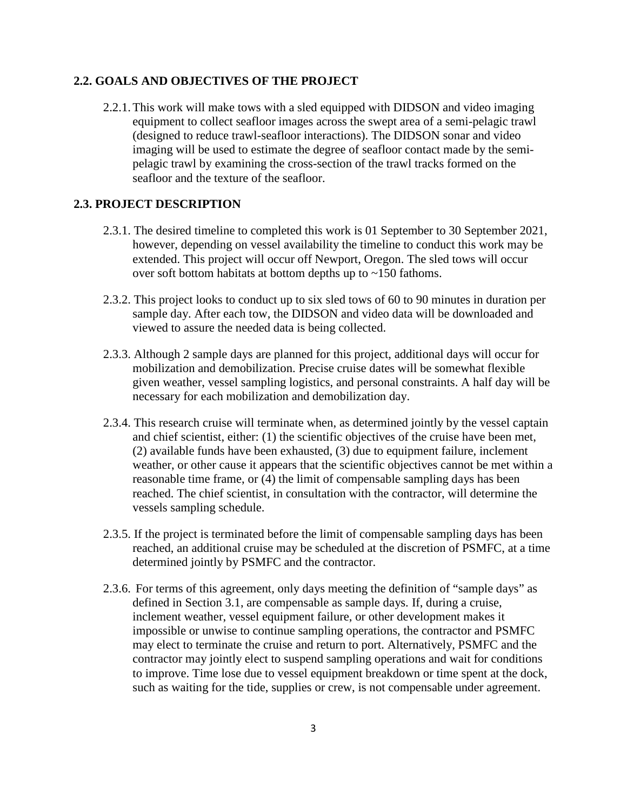#### <span id="page-4-0"></span>**2.2. GOALS AND OBJECTIVES OF THE PROJECT**

2.2.1.This work will make tows with a sled equipped with DIDSON and video imaging equipment to collect seafloor images across the swept area of a semi-pelagic trawl (designed to reduce trawl-seafloor interactions). The DIDSON sonar and video imaging will be used to estimate the degree of seafloor contact made by the semipelagic trawl by examining the cross-section of the trawl tracks formed on the seafloor and the texture of the seafloor.

## <span id="page-4-1"></span>**2.3. PROJECT DESCRIPTION**

- 2.3.1. The desired timeline to completed this work is 01 September to 30 September 2021, however, depending on vessel availability the timeline to conduct this work may be extended. This project will occur off Newport, Oregon. The sled tows will occur over soft bottom habitats at bottom depths up to ~150 fathoms.
- 2.3.2. This project looks to conduct up to six sled tows of 60 to 90 minutes in duration per sample day. After each tow, the DIDSON and video data will be downloaded and viewed to assure the needed data is being collected.
- 2.3.3. Although 2 sample days are planned for this project, additional days will occur for mobilization and demobilization. Precise cruise dates will be somewhat flexible given weather, vessel sampling logistics, and personal constraints. A half day will be necessary for each mobilization and demobilization day.
- 2.3.4. This research cruise will terminate when, as determined jointly by the vessel captain and chief scientist, either: (1) the scientific objectives of the cruise have been met, (2) available funds have been exhausted, (3) due to equipment failure, inclement weather, or other cause it appears that the scientific objectives cannot be met within a reasonable time frame, or (4) the limit of compensable sampling days has been reached. The chief scientist, in consultation with the contractor, will determine the vessels sampling schedule.
- 2.3.5. If the project is terminated before the limit of compensable sampling days has been reached, an additional cruise may be scheduled at the discretion of PSMFC, at a time determined jointly by PSMFC and the contractor.
- 2.3.6. For terms of this agreement, only days meeting the definition of "sample days" as defined in Section 3.1, are compensable as sample days. If, during a cruise, inclement weather, vessel equipment failure, or other development makes it impossible or unwise to continue sampling operations, the contractor and PSMFC may elect to terminate the cruise and return to port. Alternatively, PSMFC and the contractor may jointly elect to suspend sampling operations and wait for conditions to improve. Time lose due to vessel equipment breakdown or time spent at the dock, such as waiting for the tide, supplies or crew, is not compensable under agreement.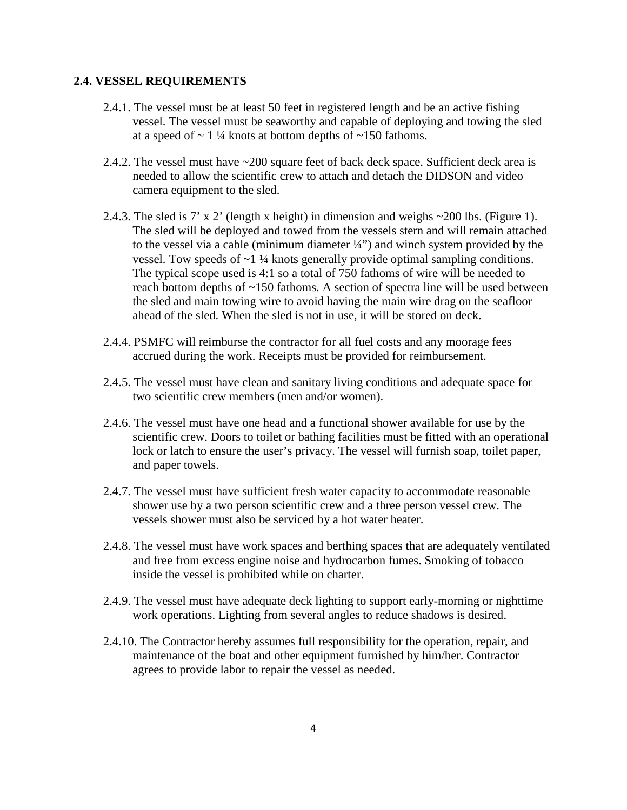#### <span id="page-5-0"></span>**2.4. VESSEL REQUIREMENTS**

- 2.4.1. The vessel must be at least 50 feet in registered length and be an active fishing vessel. The vessel must be seaworthy and capable of deploying and towing the sled at a speed of  $\sim$  1 ¼ knots at bottom depths of  $\sim$  150 fathoms.
- 2.4.2. The vessel must have ~200 square feet of back deck space. Sufficient deck area is needed to allow the scientific crew to attach and detach the DIDSON and video camera equipment to the sled.
- 2.4.3. The sled is 7' x 2' (length x height) in dimension and weighs  $\sim$  200 lbs. (Figure 1). The sled will be deployed and towed from the vessels stern and will remain attached to the vessel via a cable (minimum diameter  $\frac{1}{4}$ ) and winch system provided by the vessel. Tow speeds of  $\sim$ 1 ¼ knots generally provide optimal sampling conditions. The typical scope used is 4:1 so a total of 750 fathoms of wire will be needed to reach bottom depths of ~150 fathoms. A section of spectra line will be used between the sled and main towing wire to avoid having the main wire drag on the seafloor ahead of the sled. When the sled is not in use, it will be stored on deck.
- 2.4.4. PSMFC will reimburse the contractor for all fuel costs and any moorage fees accrued during the work. Receipts must be provided for reimbursement.
- 2.4.5. The vessel must have clean and sanitary living conditions and adequate space for two scientific crew members (men and/or women).
- 2.4.6. The vessel must have one head and a functional shower available for use by the scientific crew. Doors to toilet or bathing facilities must be fitted with an operational lock or latch to ensure the user's privacy. The vessel will furnish soap, toilet paper, and paper towels.
- 2.4.7. The vessel must have sufficient fresh water capacity to accommodate reasonable shower use by a two person scientific crew and a three person vessel crew. The vessels shower must also be serviced by a hot water heater.
- 2.4.8. The vessel must have work spaces and berthing spaces that are adequately ventilated and free from excess engine noise and hydrocarbon fumes. Smoking of tobacco inside the vessel is prohibited while on charter.
- 2.4.9. The vessel must have adequate deck lighting to support early-morning or nighttime work operations. Lighting from several angles to reduce shadows is desired.
- 2.4.10. The Contractor hereby assumes full responsibility for the operation, repair, and maintenance of the boat and other equipment furnished by him/her. Contractor agrees to provide labor to repair the vessel as needed.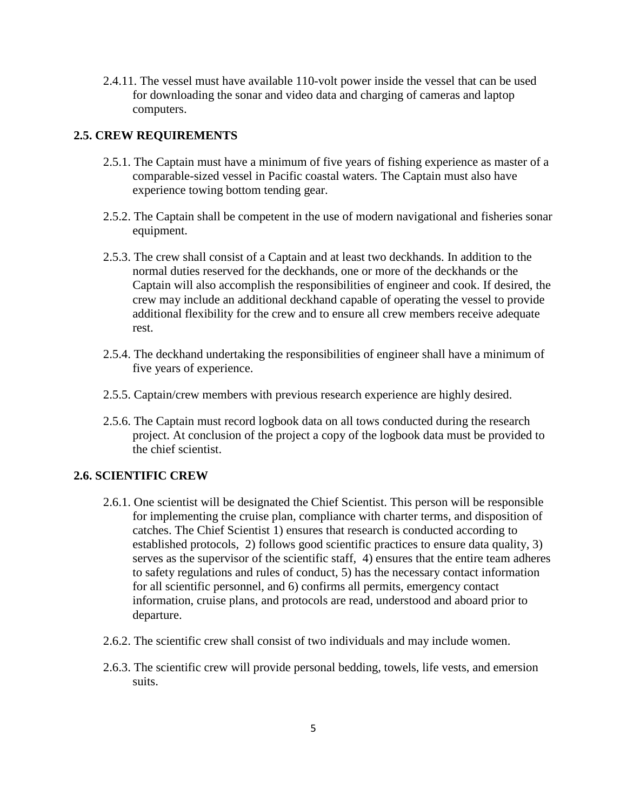2.4.11. The vessel must have available 110-volt power inside the vessel that can be used for downloading the sonar and video data and charging of cameras and laptop computers.

### <span id="page-6-0"></span>**2.5. CREW REQUIREMENTS**

- 2.5.1. The Captain must have a minimum of five years of fishing experience as master of a comparable-sized vessel in Pacific coastal waters. The Captain must also have experience towing bottom tending gear.
- 2.5.2. The Captain shall be competent in the use of modern navigational and fisheries sonar equipment.
- 2.5.3. The crew shall consist of a Captain and at least two deckhands. In addition to the normal duties reserved for the deckhands, one or more of the deckhands or the Captain will also accomplish the responsibilities of engineer and cook. If desired, the crew may include an additional deckhand capable of operating the vessel to provide additional flexibility for the crew and to ensure all crew members receive adequate rest.
- 2.5.4. The deckhand undertaking the responsibilities of engineer shall have a minimum of five years of experience.
- 2.5.5. Captain/crew members with previous research experience are highly desired.
- 2.5.6. The Captain must record logbook data on all tows conducted during the research project. At conclusion of the project a copy of the logbook data must be provided to the chief scientist.

## <span id="page-6-1"></span>**2.6. SCIENTIFIC CREW**

- 2.6.1. One scientist will be designated the Chief Scientist. This person will be responsible for implementing the cruise plan, compliance with charter terms, and disposition of catches. The Chief Scientist 1) ensures that research is conducted according to established protocols, 2) follows good scientific practices to ensure data quality, 3) serves as the supervisor of the scientific staff, 4) ensures that the entire team adheres to safety regulations and rules of conduct, 5) has the necessary contact information for all scientific personnel, and 6) confirms all permits, emergency contact information, cruise plans, and protocols are read, understood and aboard prior to departure.
- 2.6.2. The scientific crew shall consist of two individuals and may include women.
- 2.6.3. The scientific crew will provide personal bedding, towels, life vests, and emersion suits.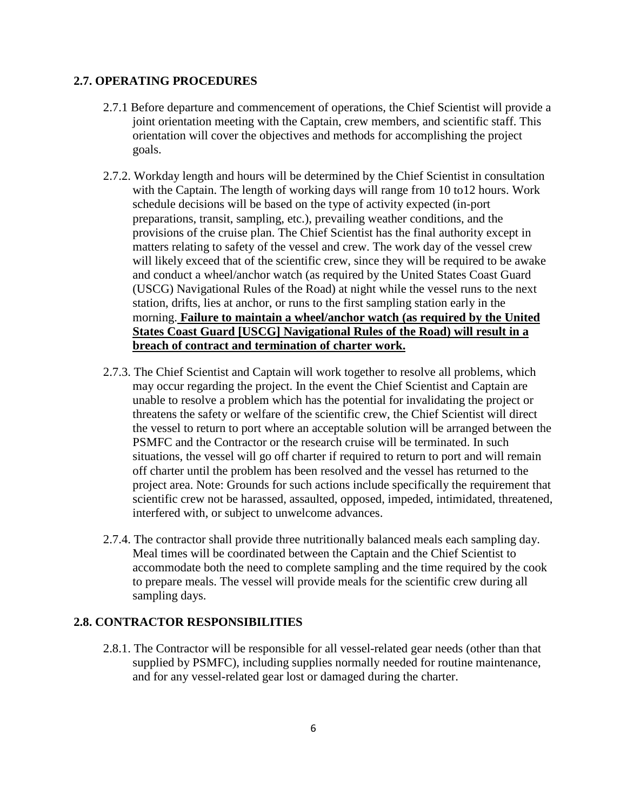#### <span id="page-7-0"></span>**2.7. OPERATING PROCEDURES**

- 2.7.1 Before departure and commencement of operations, the Chief Scientist will provide a joint orientation meeting with the Captain, crew members, and scientific staff. This orientation will cover the objectives and methods for accomplishing the project goals.
- 2.7.2. Workday length and hours will be determined by the Chief Scientist in consultation with the Captain. The length of working days will range from 10 to12 hours. Work schedule decisions will be based on the type of activity expected (in-port preparations, transit, sampling, etc.), prevailing weather conditions, and the provisions of the cruise plan. The Chief Scientist has the final authority except in matters relating to safety of the vessel and crew. The work day of the vessel crew will likely exceed that of the scientific crew, since they will be required to be awake and conduct a wheel/anchor watch (as required by the United States Coast Guard (USCG) Navigational Rules of the Road) at night while the vessel runs to the next station, drifts, lies at anchor, or runs to the first sampling station early in the morning. **Failure to maintain a wheel/anchor watch (as required by the United States Coast Guard [USCG] Navigational Rules of the Road) will result in a breach of contract and termination of charter work.**
- 2.7.3. The Chief Scientist and Captain will work together to resolve all problems, which may occur regarding the project. In the event the Chief Scientist and Captain are unable to resolve a problem which has the potential for invalidating the project or threatens the safety or welfare of the scientific crew, the Chief Scientist will direct the vessel to return to port where an acceptable solution will be arranged between the PSMFC and the Contractor or the research cruise will be terminated. In such situations, the vessel will go off charter if required to return to port and will remain off charter until the problem has been resolved and the vessel has returned to the project area. Note: Grounds for such actions include specifically the requirement that scientific crew not be harassed, assaulted, opposed, impeded, intimidated, threatened, interfered with, or subject to unwelcome advances.
- 2.7.4. The contractor shall provide three nutritionally balanced meals each sampling day. Meal times will be coordinated between the Captain and the Chief Scientist to accommodate both the need to complete sampling and the time required by the cook to prepare meals. The vessel will provide meals for the scientific crew during all sampling days.

## <span id="page-7-1"></span>**2.8. CONTRACTOR RESPONSIBILITIES**

2.8.1. The Contractor will be responsible for all vessel-related gear needs (other than that supplied by PSMFC), including supplies normally needed for routine maintenance, and for any vessel-related gear lost or damaged during the charter.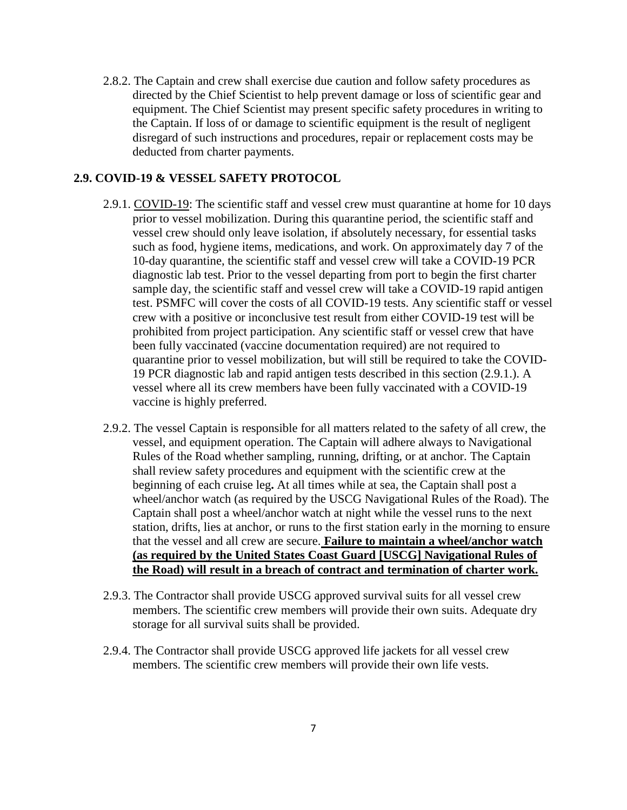2.8.2. The Captain and crew shall exercise due caution and follow safety procedures as directed by the Chief Scientist to help prevent damage or loss of scientific gear and equipment. The Chief Scientist may present specific safety procedures in writing to the Captain. If loss of or damage to scientific equipment is the result of negligent disregard of such instructions and procedures, repair or replacement costs may be deducted from charter payments.

#### <span id="page-8-0"></span>**2.9. COVID-19 & VESSEL SAFETY PROTOCOL**

- 2.9.1. COVID-19: The scientific staff and vessel crew must quarantine at home for 10 days prior to vessel mobilization. During this quarantine period, the scientific staff and vessel crew should only leave isolation, if absolutely necessary, for essential tasks such as food, hygiene items, medications, and work. On approximately day 7 of the 10-day quarantine, the scientific staff and vessel crew will take a COVID-19 PCR diagnostic lab test. Prior to the vessel departing from port to begin the first charter sample day, the scientific staff and vessel crew will take a COVID-19 rapid antigen test. PSMFC will cover the costs of all COVID-19 tests. Any scientific staff or vessel crew with a positive or inconclusive test result from either COVID-19 test will be prohibited from project participation. Any scientific staff or vessel crew that have been fully vaccinated (vaccine documentation required) are not required to quarantine prior to vessel mobilization, but will still be required to take the COVID-19 PCR diagnostic lab and rapid antigen tests described in this section (2.9.1.). A vessel where all its crew members have been fully vaccinated with a COVID-19 vaccine is highly preferred.
- 2.9.2. The vessel Captain is responsible for all matters related to the safety of all crew, the vessel, and equipment operation. The Captain will adhere always to Navigational Rules of the Road whether sampling, running, drifting, or at anchor. The Captain shall review safety procedures and equipment with the scientific crew at the beginning of each cruise leg**.** At all times while at sea, the Captain shall post a wheel/anchor watch (as required by the USCG Navigational Rules of the Road). The Captain shall post a wheel/anchor watch at night while the vessel runs to the next station, drifts, lies at anchor, or runs to the first station early in the morning to ensure that the vessel and all crew are secure. **Failure to maintain a wheel/anchor watch (as required by the United States Coast Guard [USCG] Navigational Rules of the Road) will result in a breach of contract and termination of charter work.**
- 2.9.3. The Contractor shall provide USCG approved survival suits for all vessel crew members. The scientific crew members will provide their own suits. Adequate dry storage for all survival suits shall be provided.
- 2.9.4. The Contractor shall provide USCG approved life jackets for all vessel crew members. The scientific crew members will provide their own life vests.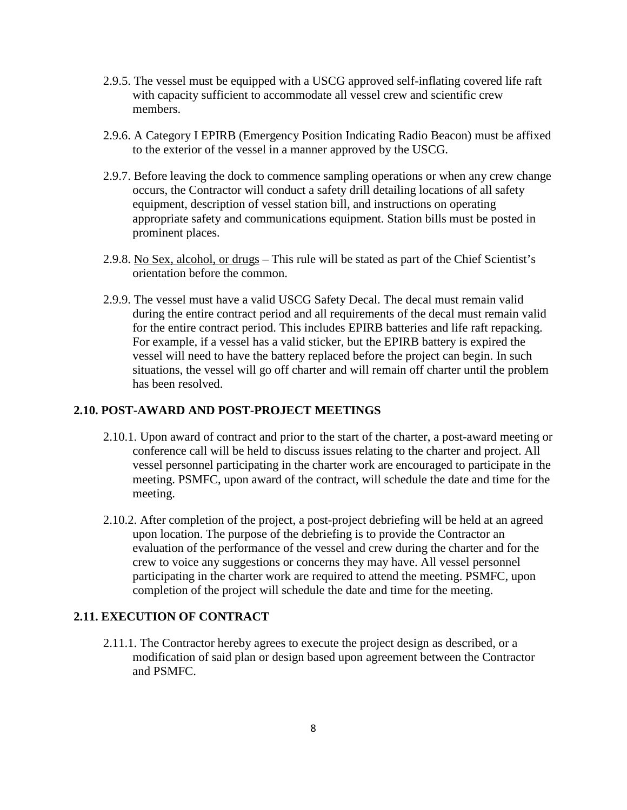- 2.9.5. The vessel must be equipped with a USCG approved self-inflating covered life raft with capacity sufficient to accommodate all vessel crew and scientific crew members.
- 2.9.6. A Category I EPIRB (Emergency Position Indicating Radio Beacon) must be affixed to the exterior of the vessel in a manner approved by the USCG.
- 2.9.7. Before leaving the dock to commence sampling operations or when any crew change occurs, the Contractor will conduct a safety drill detailing locations of all safety equipment, description of vessel station bill, and instructions on operating appropriate safety and communications equipment. Station bills must be posted in prominent places.
- 2.9.8. No Sex, alcohol, or drugs This rule will be stated as part of the Chief Scientist's orientation before the common.
- 2.9.9. The vessel must have a valid USCG Safety Decal. The decal must remain valid during the entire contract period and all requirements of the decal must remain valid for the entire contract period. This includes EPIRB batteries and life raft repacking. For example, if a vessel has a valid sticker, but the EPIRB battery is expired the vessel will need to have the battery replaced before the project can begin. In such situations, the vessel will go off charter and will remain off charter until the problem has been resolved.

#### <span id="page-9-0"></span>**2.10. POST-AWARD AND POST-PROJECT MEETINGS**

- 2.10.1. Upon award of contract and prior to the start of the charter, a post-award meeting or conference call will be held to discuss issues relating to the charter and project. All vessel personnel participating in the charter work are encouraged to participate in the meeting. PSMFC, upon award of the contract, will schedule the date and time for the meeting.
- 2.10.2. After completion of the project, a post-project debriefing will be held at an agreed upon location. The purpose of the debriefing is to provide the Contractor an evaluation of the performance of the vessel and crew during the charter and for the crew to voice any suggestions or concerns they may have. All vessel personnel participating in the charter work are required to attend the meeting. PSMFC, upon completion of the project will schedule the date and time for the meeting.

#### <span id="page-9-1"></span>**2.11. EXECUTION OF CONTRACT**

2.11.1. The Contractor hereby agrees to execute the project design as described, or a modification of said plan or design based upon agreement between the Contractor and PSMFC.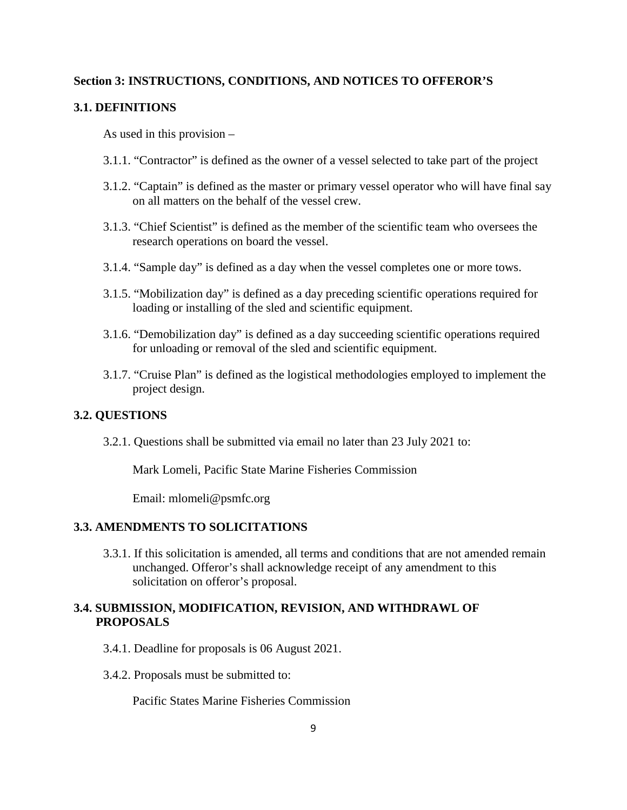#### <span id="page-10-0"></span>**Section 3: INSTRUCTIONS, CONDITIONS, AND NOTICES TO OFFEROR'S**

### <span id="page-10-1"></span>**3.1. DEFINITIONS**

As used in this provision –

- 3.1.1. "Contractor" is defined as the owner of a vessel selected to take part of the project
- 3.1.2. "Captain" is defined as the master or primary vessel operator who will have final say on all matters on the behalf of the vessel crew.
- 3.1.3. "Chief Scientist" is defined as the member of the scientific team who oversees the research operations on board the vessel.
- 3.1.4. "Sample day" is defined as a day when the vessel completes one or more tows.
- 3.1.5. "Mobilization day" is defined as a day preceding scientific operations required for loading or installing of the sled and scientific equipment.
- 3.1.6. "Demobilization day" is defined as a day succeeding scientific operations required for unloading or removal of the sled and scientific equipment.
- 3.1.7. "Cruise Plan" is defined as the logistical methodologies employed to implement the project design.

#### <span id="page-10-2"></span>**3.2. QUESTIONS**

3.2.1. Questions shall be submitted via email no later than 23 July 2021 to:

Mark Lomeli, Pacific State Marine Fisheries Commission

Email: [mlomeli@psmfc.org](mailto:mlomeli@psmfc.org)

#### <span id="page-10-3"></span>**3.3. AMENDMENTS TO SOLICITATIONS**

3.3.1. If this solicitation is amended, all terms and conditions that are not amended remain unchanged. Offeror's shall acknowledge receipt of any amendment to this solicitation on offeror's proposal.

## <span id="page-10-4"></span>**3.4. SUBMISSION, MODIFICATION, REVISION, AND WITHDRAWL OF PROPOSALS**

- 3.4.1. Deadline for proposals is 06 August 2021.
- 3.4.2. Proposals must be submitted to:

Pacific States Marine Fisheries Commission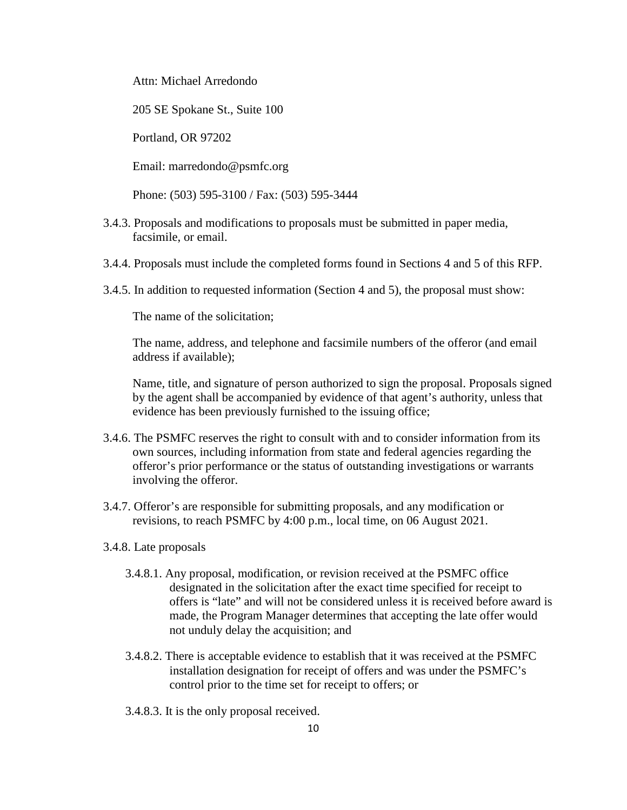Attn: Michael Arredondo

205 SE Spokane St., Suite 100

Portland, OR 97202

Email: marredondo@psmfc.org

Phone: (503) 595-3100 / Fax: (503) 595-3444

- 3.4.3. Proposals and modifications to proposals must be submitted in paper media, facsimile, or email.
- 3.4.4. Proposals must include the completed forms found in Sections 4 and 5 of this RFP.
- 3.4.5. In addition to requested information (Section 4 and 5), the proposal must show:

The name of the solicitation;

The name, address, and telephone and facsimile numbers of the offeror (and email address if available);

Name, title, and signature of person authorized to sign the proposal. Proposals signed by the agent shall be accompanied by evidence of that agent's authority, unless that evidence has been previously furnished to the issuing office;

- 3.4.6. The PSMFC reserves the right to consult with and to consider information from its own sources, including information from state and federal agencies regarding the offeror's prior performance or the status of outstanding investigations or warrants involving the offeror.
- 3.4.7. Offeror's are responsible for submitting proposals, and any modification or revisions, to reach PSMFC by 4:00 p.m., local time, on 06 August 2021.
- 3.4.8. Late proposals
	- 3.4.8.1. Any proposal, modification, or revision received at the PSMFC office designated in the solicitation after the exact time specified for receipt to offers is "late" and will not be considered unless it is received before award is made, the Program Manager determines that accepting the late offer would not unduly delay the acquisition; and
	- 3.4.8.2. There is acceptable evidence to establish that it was received at the PSMFC installation designation for receipt of offers and was under the PSMFC's control prior to the time set for receipt to offers; or
	- 3.4.8.3. It is the only proposal received.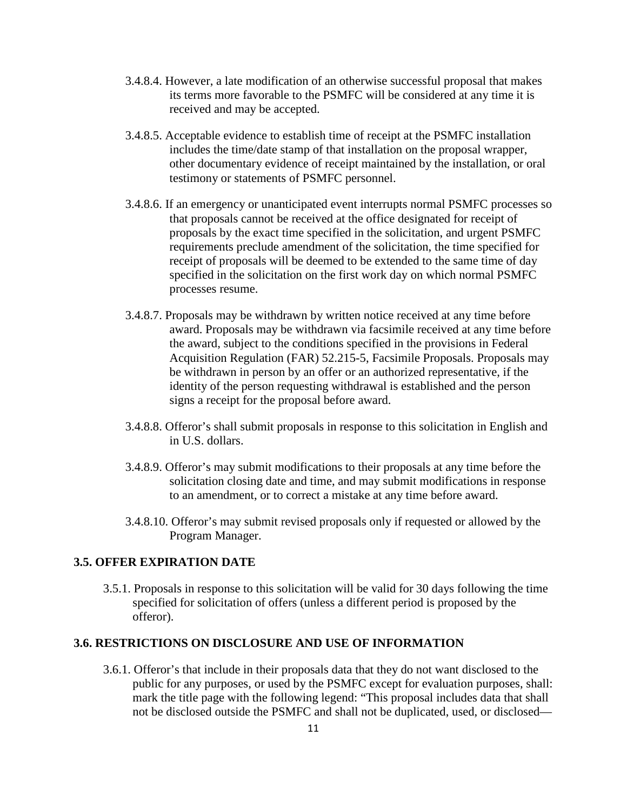- 3.4.8.4. However, a late modification of an otherwise successful proposal that makes its terms more favorable to the PSMFC will be considered at any time it is received and may be accepted.
- 3.4.8.5. Acceptable evidence to establish time of receipt at the PSMFC installation includes the time/date stamp of that installation on the proposal wrapper, other documentary evidence of receipt maintained by the installation, or oral testimony or statements of PSMFC personnel.
- 3.4.8.6. If an emergency or unanticipated event interrupts normal PSMFC processes so that proposals cannot be received at the office designated for receipt of proposals by the exact time specified in the solicitation, and urgent PSMFC requirements preclude amendment of the solicitation, the time specified for receipt of proposals will be deemed to be extended to the same time of day specified in the solicitation on the first work day on which normal PSMFC processes resume.
- 3.4.8.7. Proposals may be withdrawn by written notice received at any time before award. Proposals may be withdrawn via facsimile received at any time before the award, subject to the conditions specified in the provisions in Federal Acquisition Regulation (FAR) 52.215-5, Facsimile Proposals. Proposals may be withdrawn in person by an offer or an authorized representative, if the identity of the person requesting withdrawal is established and the person signs a receipt for the proposal before award.
- 3.4.8.8. Offeror's shall submit proposals in response to this solicitation in English and in U.S. dollars.
- 3.4.8.9. Offeror's may submit modifications to their proposals at any time before the solicitation closing date and time, and may submit modifications in response to an amendment, or to correct a mistake at any time before award.
- 3.4.8.10. Offeror's may submit revised proposals only if requested or allowed by the Program Manager.

#### <span id="page-12-0"></span>**3.5. OFFER EXPIRATION DATE**

3.5.1. Proposals in response to this solicitation will be valid for 30 days following the time specified for solicitation of offers (unless a different period is proposed by the offeror).

### <span id="page-12-1"></span>**3.6. RESTRICTIONS ON DISCLOSURE AND USE OF INFORMATION**

3.6.1. Offeror's that include in their proposals data that they do not want disclosed to the public for any purposes, or used by the PSMFC except for evaluation purposes, shall: mark the title page with the following legend: "This proposal includes data that shall not be disclosed outside the PSMFC and shall not be duplicated, used, or disclosed—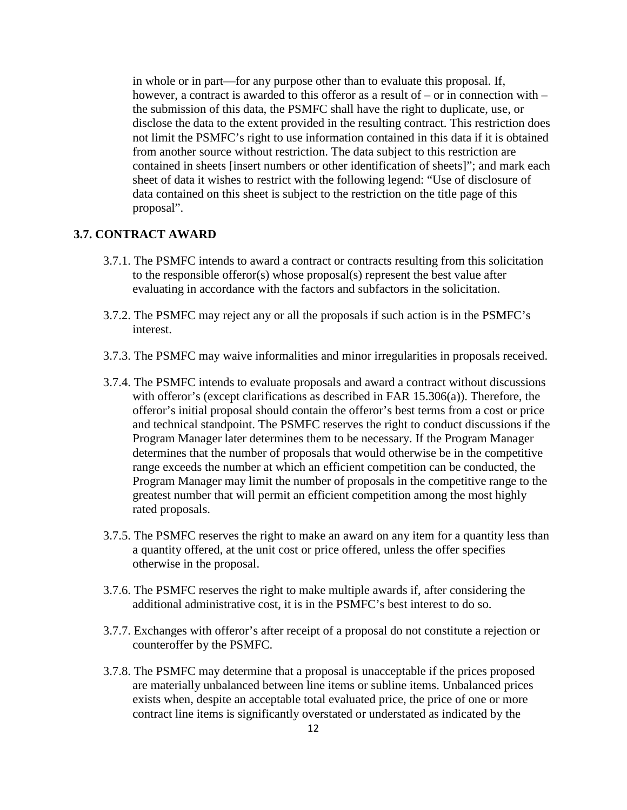in whole or in part—for any purpose other than to evaluate this proposal. If, however, a contract is awarded to this offeror as a result of – or in connection with – the submission of this data, the PSMFC shall have the right to duplicate, use, or disclose the data to the extent provided in the resulting contract. This restriction does not limit the PSMFC's right to use information contained in this data if it is obtained from another source without restriction. The data subject to this restriction are contained in sheets [insert numbers or other identification of sheets]"; and mark each sheet of data it wishes to restrict with the following legend: "Use of disclosure of data contained on this sheet is subject to the restriction on the title page of this proposal".

#### <span id="page-13-0"></span>**3.7. CONTRACT AWARD**

- 3.7.1. The PSMFC intends to award a contract or contracts resulting from this solicitation to the responsible offeror(s) whose proposal(s) represent the best value after evaluating in accordance with the factors and subfactors in the solicitation.
- 3.7.2. The PSMFC may reject any or all the proposals if such action is in the PSMFC's interest.
- 3.7.3. The PSMFC may waive informalities and minor irregularities in proposals received.
- 3.7.4. The PSMFC intends to evaluate proposals and award a contract without discussions with offeror's (except clarifications as described in FAR 15.306(a)). Therefore, the offeror's initial proposal should contain the offeror's best terms from a cost or price and technical standpoint. The PSMFC reserves the right to conduct discussions if the Program Manager later determines them to be necessary. If the Program Manager determines that the number of proposals that would otherwise be in the competitive range exceeds the number at which an efficient competition can be conducted, the Program Manager may limit the number of proposals in the competitive range to the greatest number that will permit an efficient competition among the most highly rated proposals.
- 3.7.5. The PSMFC reserves the right to make an award on any item for a quantity less than a quantity offered, at the unit cost or price offered, unless the offer specifies otherwise in the proposal.
- 3.7.6. The PSMFC reserves the right to make multiple awards if, after considering the additional administrative cost, it is in the PSMFC's best interest to do so.
- 3.7.7. Exchanges with offeror's after receipt of a proposal do not constitute a rejection or counteroffer by the PSMFC.
- 3.7.8. The PSMFC may determine that a proposal is unacceptable if the prices proposed are materially unbalanced between line items or subline items. Unbalanced prices exists when, despite an acceptable total evaluated price, the price of one or more contract line items is significantly overstated or understated as indicated by the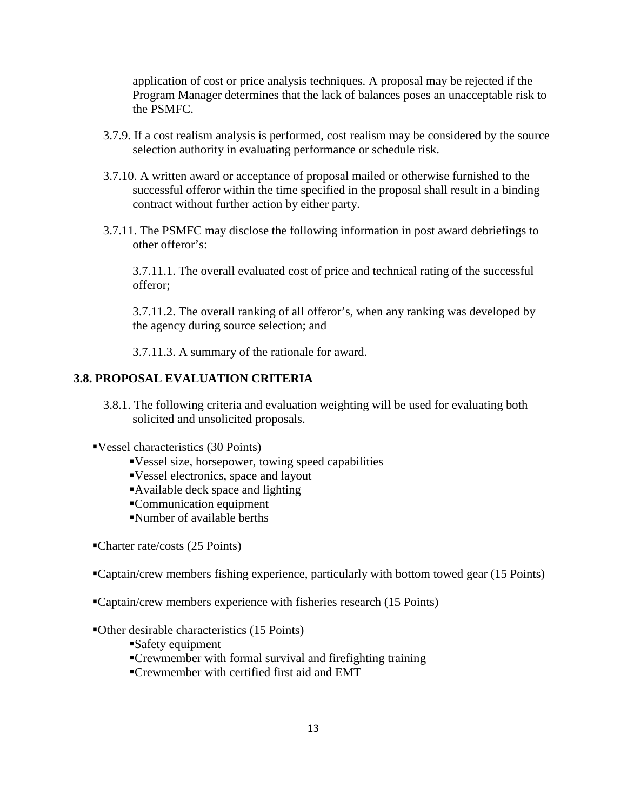application of cost or price analysis techniques. A proposal may be rejected if the Program Manager determines that the lack of balances poses an unacceptable risk to the PSMFC.

- 3.7.9. If a cost realism analysis is performed, cost realism may be considered by the source selection authority in evaluating performance or schedule risk.
- 3.7.10. A written award or acceptance of proposal mailed or otherwise furnished to the successful offeror within the time specified in the proposal shall result in a binding contract without further action by either party.
- 3.7.11. The PSMFC may disclose the following information in post award debriefings to other offeror's:

3.7.11.1. The overall evaluated cost of price and technical rating of the successful offeror;

3.7.11.2. The overall ranking of all offeror's, when any ranking was developed by the agency during source selection; and

3.7.11.3. A summary of the rationale for award.

## <span id="page-14-0"></span>**3.8. PROPOSAL EVALUATION CRITERIA**

- 3.8.1. The following criteria and evaluation weighting will be used for evaluating both solicited and unsolicited proposals.
- Vessel characteristics (30 Points)
	- Vessel size, horsepower, towing speed capabilities
	- Vessel electronics, space and layout
	- Available deck space and lighting
	- Communication equipment
	- Number of available berths
- Charter rate/costs (25 Points)
- Captain/crew members fishing experience, particularly with bottom towed gear (15 Points)
- Captain/crew members experience with fisheries research (15 Points)
- Other desirable characteristics (15 Points)
	- Safety equipment
	- Crewmember with formal survival and firefighting training
	- Crewmember with certified first aid and EMT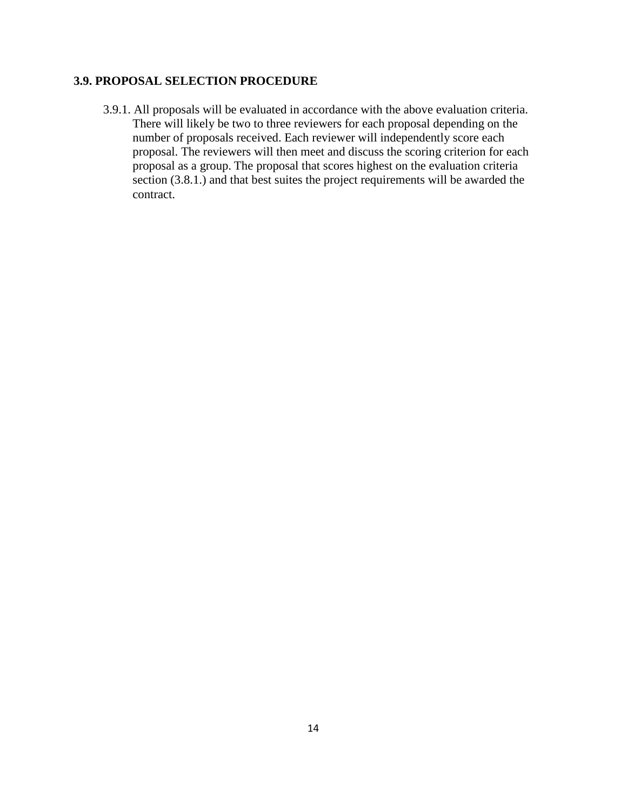### <span id="page-15-0"></span>**3.9. PROPOSAL SELECTION PROCEDURE**

3.9.1. All proposals will be evaluated in accordance with the above evaluation criteria. There will likely be two to three reviewers for each proposal depending on the number of proposals received. Each reviewer will independently score each proposal. The reviewers will then meet and discuss the scoring criterion for each proposal as a group. The proposal that scores highest on the evaluation criteria section (3.8.1.) and that best suites the project requirements will be awarded the contract.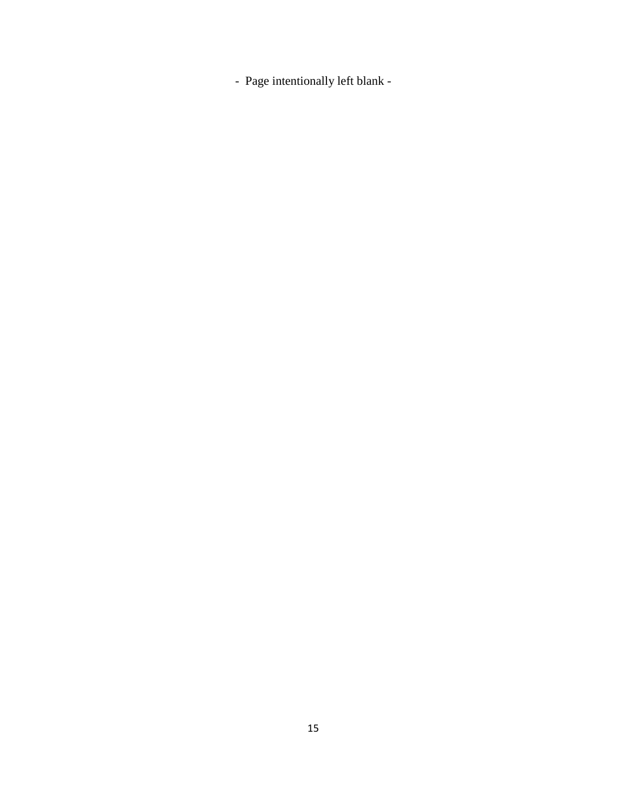- Page intentionally left blank -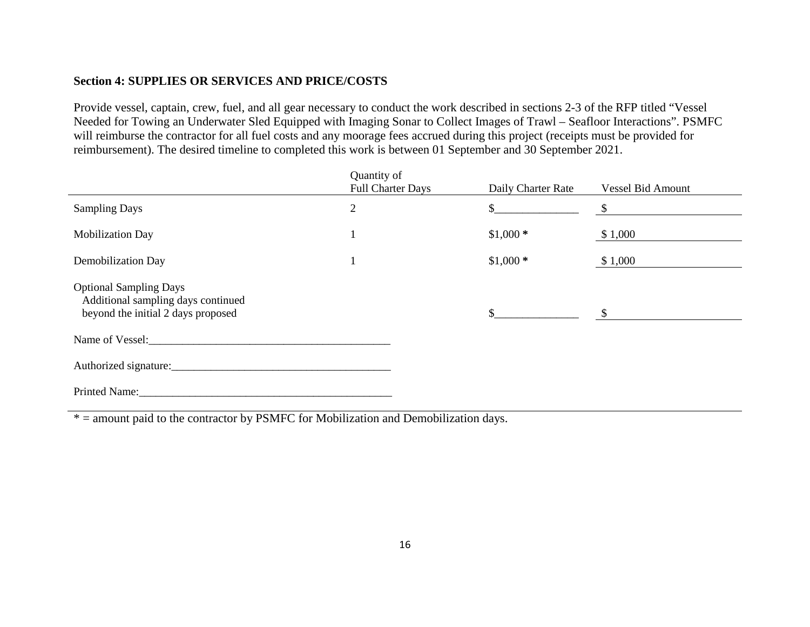## **Section 4: SUPPLIES OR SERVICES AND PRICE/COSTS**

Provide vessel, captain, crew, fuel, and all gear necessary to conduct the work described in sections 2-3 of the RFP titled "Vessel Needed for Towing an Underwater Sled Equipped with Imaging Sonar to Collect Images of Trawl – Seafloor Interactions". PSMFC will reimburse the contractor for all fuel costs and any moorage fees accrued during this project (receipts must be provided for reimbursement). The desired timeline to completed this work is between 01 September and 30 September 2021.

<span id="page-17-0"></span>

|                                                                                                           | Quantity of<br><b>Full Charter Days</b> | Daily Charter Rate | <b>Vessel Bid Amount</b> |
|-----------------------------------------------------------------------------------------------------------|-----------------------------------------|--------------------|--------------------------|
| <b>Sampling Days</b>                                                                                      | $\overline{2}$                          |                    | \$                       |
| <b>Mobilization Day</b>                                                                                   |                                         | $$1,000*$          | \$1,000                  |
| Demobilization Day                                                                                        |                                         | $$1,000*$          | \$1,000                  |
| <b>Optional Sampling Days</b><br>Additional sampling days continued<br>beyond the initial 2 days proposed |                                         | \$                 | $\mathcal{S}$            |
| Name of Vessel:                                                                                           |                                         |                    |                          |
| Authorized signature:                                                                                     |                                         |                    |                          |
| Printed Name:                                                                                             |                                         |                    |                          |

 $* =$  amount paid to the contractor by PSMFC for Mobilization and Demobilization days.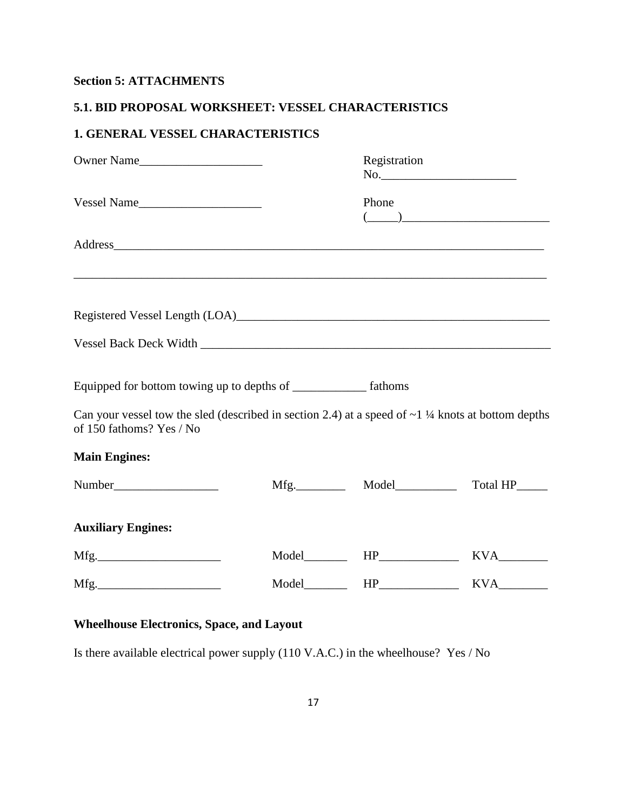# <span id="page-18-0"></span>**Section 5: ATTACHMENTS**

## <span id="page-18-1"></span>**5.1. BID PROPOSAL WORKSHEET: VESSEL CHARACTERISTICS**

## **1. GENERAL VESSEL CHARACTERISTICS**

| Owner Name                                                                                                                                                                                                                     | Registration                                                                                                                                                                                                                                                                                                                                                                 |              |  |
|--------------------------------------------------------------------------------------------------------------------------------------------------------------------------------------------------------------------------------|------------------------------------------------------------------------------------------------------------------------------------------------------------------------------------------------------------------------------------------------------------------------------------------------------------------------------------------------------------------------------|--------------|--|
| Vessel Name                                                                                                                                                                                                                    | Phone<br>$\begin{picture}(20,10) \put(0,0){\vector(1,0){100}} \put(15,0){\vector(1,0){100}} \put(15,0){\vector(1,0){100}} \put(15,0){\vector(1,0){100}} \put(15,0){\vector(1,0){100}} \put(15,0){\vector(1,0){100}} \put(15,0){\vector(1,0){100}} \put(15,0){\vector(1,0){100}} \put(15,0){\vector(1,0){100}} \put(15,0){\vector(1,0){100}} \put(15,0){\vector(1,0){100}} \$ |              |  |
| Address and the contract of the contract of the contract of the contract of the contract of the contract of the contract of the contract of the contract of the contract of the contract of the contract of the contract of th |                                                                                                                                                                                                                                                                                                                                                                              |              |  |
|                                                                                                                                                                                                                                |                                                                                                                                                                                                                                                                                                                                                                              |              |  |
|                                                                                                                                                                                                                                |                                                                                                                                                                                                                                                                                                                                                                              |              |  |
| Equipped for bottom towing up to depths of _______________ fathoms                                                                                                                                                             |                                                                                                                                                                                                                                                                                                                                                                              |              |  |
| Can your vessel tow the sled (described in section 2.4) at a speed of $\sim$ 1 ¼ knots at bottom depths<br>of 150 fathoms? Yes / No                                                                                            |                                                                                                                                                                                                                                                                                                                                                                              |              |  |
| <b>Main Engines:</b>                                                                                                                                                                                                           |                                                                                                                                                                                                                                                                                                                                                                              |              |  |
|                                                                                                                                                                                                                                |                                                                                                                                                                                                                                                                                                                                                                              | Total HP____ |  |
| <b>Auxiliary Engines:</b>                                                                                                                                                                                                      |                                                                                                                                                                                                                                                                                                                                                                              |              |  |
|                                                                                                                                                                                                                                |                                                                                                                                                                                                                                                                                                                                                                              |              |  |
|                                                                                                                                                                                                                                |                                                                                                                                                                                                                                                                                                                                                                              |              |  |

## **Wheelhouse Electronics, Space, and Layout**

Is there available electrical power supply (110 V.A.C.) in the wheelhouse? Yes / No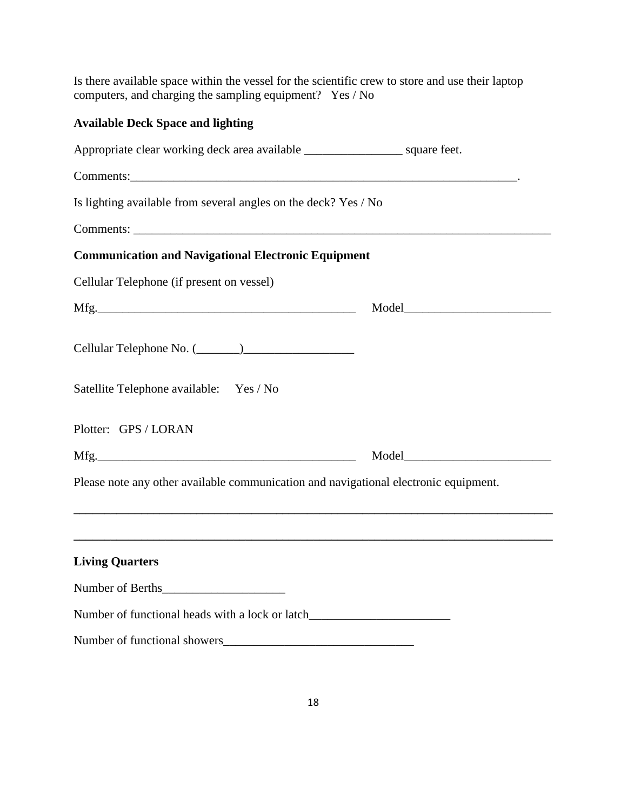Is there available space within the vessel for the scientific crew to store and use their laptop computers, and charging the sampling equipment? Yes / No

## **Available Deck Space and lighting**

| Appropriate clear working deck area available ______________________ square feet.    |  |
|--------------------------------------------------------------------------------------|--|
|                                                                                      |  |
| Is lighting available from several angles on the deck? Yes / No                      |  |
|                                                                                      |  |
| <b>Communication and Navigational Electronic Equipment</b>                           |  |
| Cellular Telephone (if present on vessel)                                            |  |
|                                                                                      |  |
|                                                                                      |  |
| Satellite Telephone available: Yes / No                                              |  |
| Plotter: GPS / LORAN                                                                 |  |
|                                                                                      |  |
| Please note any other available communication and navigational electronic equipment. |  |
| <b>Living Quarters</b>                                                               |  |
|                                                                                      |  |
| Number of functional heads with a lock or latch__________________________________    |  |
|                                                                                      |  |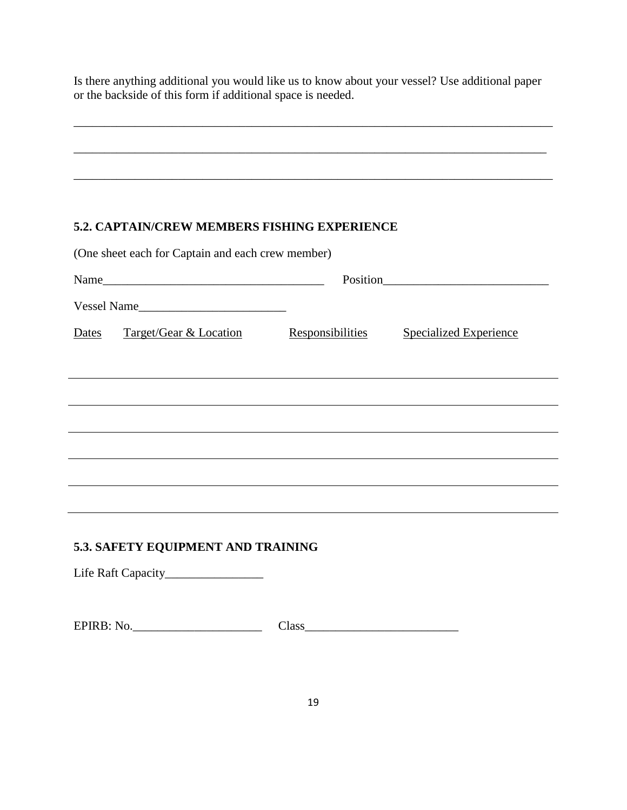Is there anything additional you would like us to know about your vessel? Use additional paper or the backside of this form if additional space is needed.

\_\_\_\_\_\_\_\_\_\_\_\_\_\_\_\_\_\_\_\_\_\_\_\_\_\_\_\_\_\_\_\_\_\_\_\_\_\_\_\_\_\_\_\_\_\_\_\_\_\_\_\_\_\_\_\_\_\_\_\_\_\_\_\_\_\_\_\_\_\_\_\_\_\_\_\_\_

\_\_\_\_\_\_\_\_\_\_\_\_\_\_\_\_\_\_\_\_\_\_\_\_\_\_\_\_\_\_\_\_\_\_\_\_\_\_\_\_\_\_\_\_\_\_\_\_\_\_\_\_\_\_\_\_\_\_\_\_\_\_\_\_\_\_\_\_\_\_\_\_\_\_\_\_\_\_

 $\overline{\phantom{a}}$  , and the set of the set of the set of the set of the set of the set of the set of the set of the set of the set of the set of the set of the set of the set of the set of the set of the set of the set of the s

## <span id="page-20-0"></span>**5.2. CAPTAIN/CREW MEMBERS FISHING EXPERIENCE**

| (One sheet each for Captain and each crew member) |                        |                  |                               |
|---------------------------------------------------|------------------------|------------------|-------------------------------|
|                                                   |                        |                  |                               |
|                                                   | Vessel Name            |                  |                               |
| Dates                                             | Target/Gear & Location | Responsibilities | <b>Specialized Experience</b> |
|                                                   |                        |                  |                               |
|                                                   |                        |                  |                               |
|                                                   |                        |                  |                               |
|                                                   |                        |                  |                               |
|                                                   |                        |                  |                               |
|                                                   |                        |                  |                               |
|                                                   |                        |                  |                               |

## <span id="page-20-1"></span>**5.3. SAFETY EQUIPMENT AND TRAINING**

Life Raft Capacity\_\_\_\_\_\_\_\_\_\_\_\_\_\_\_\_

EPIRB: No.\_\_\_\_\_\_\_\_\_\_\_\_\_\_\_\_\_\_\_\_\_ Class\_\_\_\_\_\_\_\_\_\_\_\_\_\_\_\_\_\_\_\_\_\_\_\_\_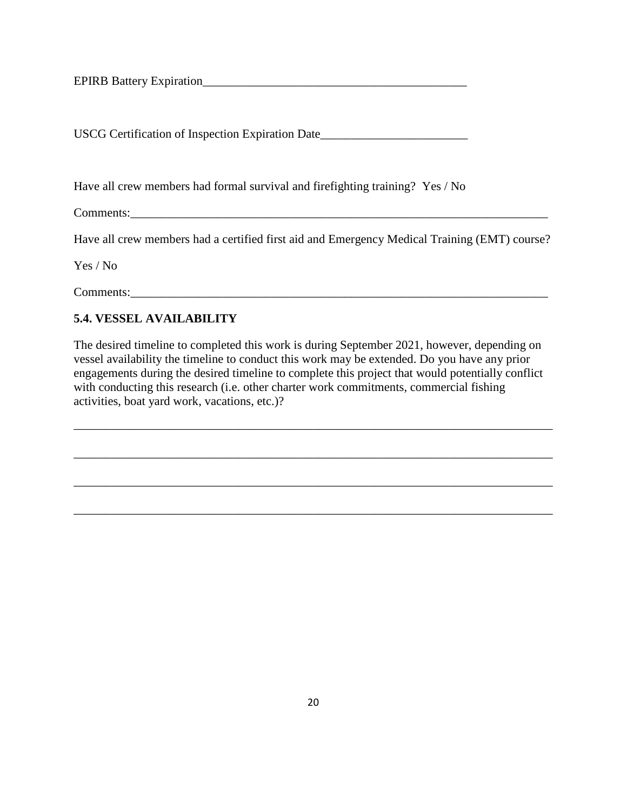EPIRB Battery Expiration\_\_\_\_\_\_\_\_\_\_\_\_\_\_\_\_\_\_\_\_\_\_\_\_\_\_\_\_\_\_\_\_\_\_\_\_\_\_\_\_\_\_\_

USCG Certification of Inspection Expiration Date\_\_\_\_\_\_\_\_\_\_\_\_\_\_\_\_\_\_\_\_\_\_\_\_\_\_\_\_\_\_\_\_

Have all crew members had formal survival and firefighting training? Yes / No

Comments:

Have all crew members had a certified first aid and Emergency Medical Training (EMT) course?

Yes / No

Comments:

## <span id="page-21-0"></span>**5.4. VESSEL AVAILABILITY**

The desired timeline to completed this work is during September 2021, however, depending on vessel availability the timeline to conduct this work may be extended. Do you have any prior engagements during the desired timeline to complete this project that would potentially conflict with conducting this research (i.e. other charter work commitments, commercial fishing activities, boat yard work, vacations, etc.)?

\_\_\_\_\_\_\_\_\_\_\_\_\_\_\_\_\_\_\_\_\_\_\_\_\_\_\_\_\_\_\_\_\_\_\_\_\_\_\_\_\_\_\_\_\_\_\_\_\_\_\_\_\_\_\_\_\_\_\_\_\_\_\_\_\_\_\_\_\_\_\_\_\_\_\_\_\_\_

\_\_\_\_\_\_\_\_\_\_\_\_\_\_\_\_\_\_\_\_\_\_\_\_\_\_\_\_\_\_\_\_\_\_\_\_\_\_\_\_\_\_\_\_\_\_\_\_\_\_\_\_\_\_\_\_\_\_\_\_\_\_\_\_\_\_\_\_\_\_\_\_\_\_\_\_\_\_

\_\_\_\_\_\_\_\_\_\_\_\_\_\_\_\_\_\_\_\_\_\_\_\_\_\_\_\_\_\_\_\_\_\_\_\_\_\_\_\_\_\_\_\_\_\_\_\_\_\_\_\_\_\_\_\_\_\_\_\_\_\_\_\_\_\_\_\_\_\_\_\_\_\_\_\_\_\_

\_\_\_\_\_\_\_\_\_\_\_\_\_\_\_\_\_\_\_\_\_\_\_\_\_\_\_\_\_\_\_\_\_\_\_\_\_\_\_\_\_\_\_\_\_\_\_\_\_\_\_\_\_\_\_\_\_\_\_\_\_\_\_\_\_\_\_\_\_\_\_\_\_\_\_\_\_\_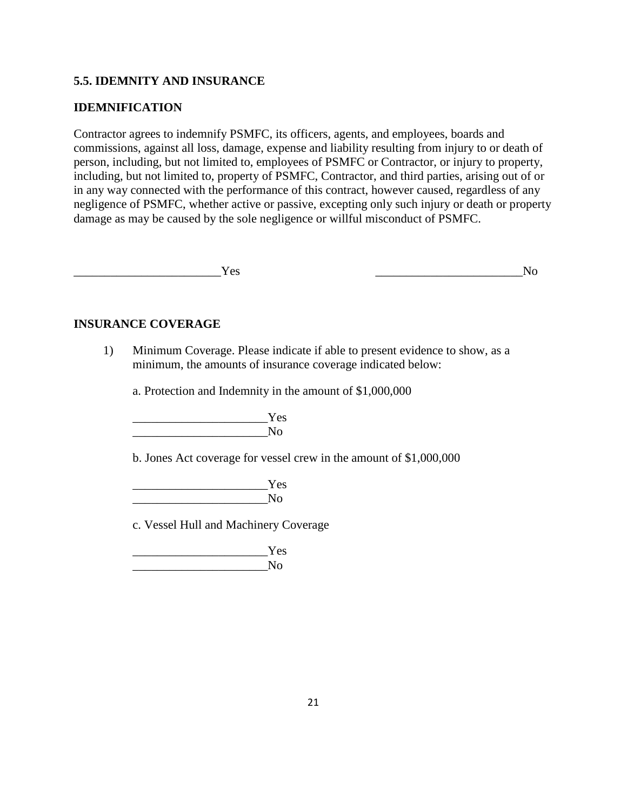## <span id="page-22-0"></span>**5.5. IDEMNITY AND INSURANCE**

### **IDEMNIFICATION**

Contractor agrees to indemnify PSMFC, its officers, agents, and employees, boards and commissions, against all loss, damage, expense and liability resulting from injury to or death of person, including, but not limited to, employees of PSMFC or Contractor, or injury to property, including, but not limited to, property of PSMFC, Contractor, and third parties, arising out of or in any way connected with the performance of this contract, however caused, regardless of any negligence of PSMFC, whether active or passive, excepting only such injury or death or property damage as may be caused by the sole negligence or willful misconduct of PSMFC.

\_\_\_\_\_\_\_\_\_\_\_\_\_\_\_\_\_\_\_\_\_\_\_\_Yes \_\_\_\_\_\_\_\_\_\_\_\_\_\_\_\_\_\_\_\_\_\_\_\_No

#### **INSURANCE COVERAGE**

- 1) Minimum Coverage. Please indicate if able to present evidence to show, as a minimum, the amounts of insurance coverage indicated below:
	- a. Protection and Indemnity in the amount of \$1,000,000

\_\_\_\_\_\_\_\_\_\_\_\_\_\_\_\_\_\_\_\_\_\_Yes \_\_\_\_\_\_\_\_\_\_\_\_\_\_\_\_\_\_\_\_\_\_No

b. Jones Act coverage for vessel crew in the amount of \$1,000,000

\_\_\_\_\_\_\_\_\_\_\_\_\_\_\_\_\_\_\_\_\_\_Yes  $\overline{N_0}$ 

c. Vessel Hull and Machinery Coverage

\_\_\_\_\_\_\_\_\_\_\_\_\_\_\_\_\_\_\_\_\_\_Yes  $\overline{\text{No}}$